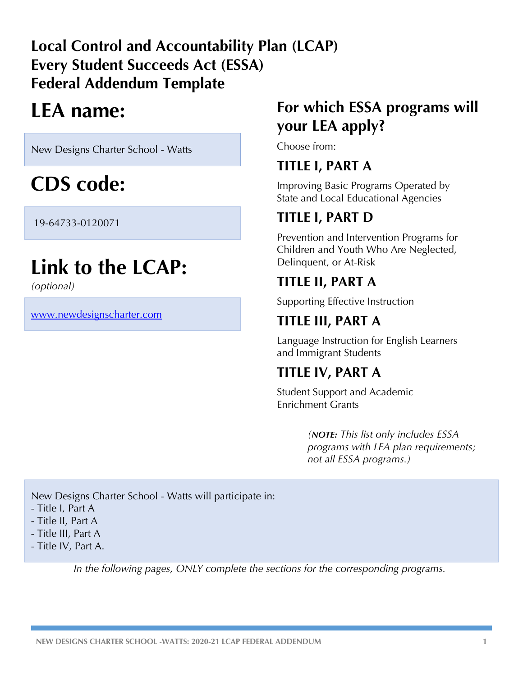# **Local Control and Accountability Plan (LCAP) Every Student Succeeds Act (ESSA) Federal Addendum Template**

# **LEA name:**

New Designs Charter School - Watts

# **CDS code:**

19-64733-0120071

# **Link to the LCAP:**

*(optional)*

www.newdesignscharter.com

# **For which ESSA programs will your LEA apply?**

Choose from:

# **TITLE I, PART A**

Improving Basic Programs Operated by State and Local Educational Agencies

# **TITLE I, PART D**

Prevention and Intervention Programs for Children and Youth Who Are Neglected, Delinquent, or At-Risk

# **TITLE II, PART A**

Supporting Effective Instruction

# **TITLE III, PART A**

Language Instruction for English Learners and Immigrant Students

# **TITLE IV, PART A**

Student Support and Academic Enrichment Grants

> *(NOTE: This list only includes ESSA programs with LEA plan requirements; not all ESSA programs.)*

New Designs Charter School - Watts will participate in:

- Title I, Part A
- Title II, Part A
- Title III, Part A
- Title IV, Part A.

*In the following pages, ONLY complete the sections for the corresponding programs.*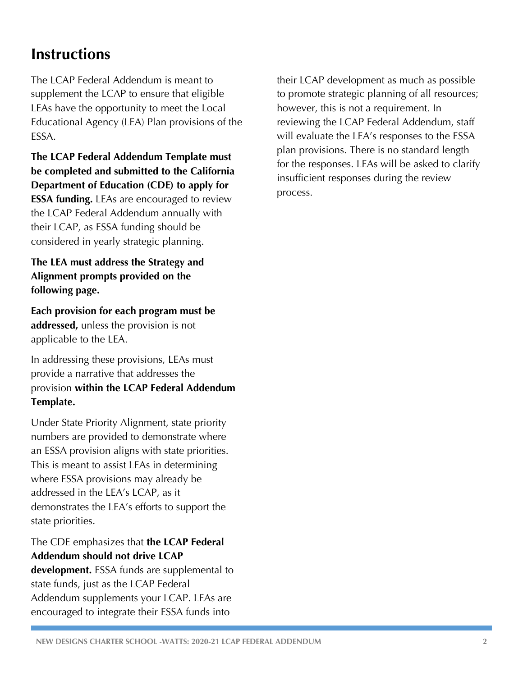# **Instructions**

The LCAP Federal Addendum is meant to supplement the LCAP to ensure that eligible LEAs have the opportunity to meet the Local Educational Agency (LEA) Plan provisions of the ESSA.

**The LCAP Federal Addendum Template must be completed and submitted to the California Department of Education (CDE) to apply for ESSA funding.** LEAs are encouraged to review the LCAP Federal Addendum annually with their LCAP, as ESSA funding should be considered in yearly strategic planning.

**The LEA must address the Strategy and Alignment prompts provided on the following page.** 

**Each provision for each program must be addressed,** unless the provision is not applicable to the LEA.

In addressing these provisions, LEAs must provide a narrative that addresses the provision **within the LCAP Federal Addendum Template.**

Under State Priority Alignment, state priority numbers are provided to demonstrate where an ESSA provision aligns with state priorities. This is meant to assist LEAs in determining where ESSA provisions may already be addressed in the LEA's LCAP, as it demonstrates the LEA's efforts to support the state priorities.

### The CDE emphasizes that **the LCAP Federal Addendum should not drive LCAP**

**development.** ESSA funds are supplemental to state funds, just as the LCAP Federal Addendum supplements your LCAP. LEAs are encouraged to integrate their ESSA funds into

their LCAP development as much as possible to promote strategic planning of all resources; however, this is not a requirement. In reviewing the LCAP Federal Addendum, staff will evaluate the LEA's responses to the ESSA plan provisions. There is no standard length for the responses. LEAs will be asked to clarify insufficient responses during the review process.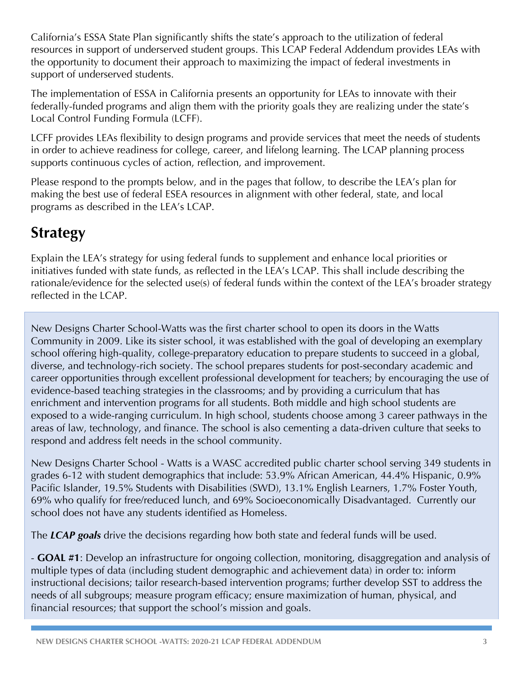California's ESSA State Plan significantly shifts the state's approach to the utilization of federal resources in support of underserved student groups. This LCAP Federal Addendum provides LEAs with the opportunity to document their approach to maximizing the impact of federal investments in support of underserved students.

The implementation of ESSA in California presents an opportunity for LEAs to innovate with their federally-funded programs and align them with the priority goals they are realizing under the state's Local Control Funding Formula (LCFF).

LCFF provides LEAs flexibility to design programs and provide services that meet the needs of students in order to achieve readiness for college, career, and lifelong learning. The LCAP planning process supports continuous cycles of action, reflection, and improvement.

Please respond to the prompts below, and in the pages that follow, to describe the LEA's plan for making the best use of federal ESEA resources in alignment with other federal, state, and local programs as described in the LEA's LCAP.

# **Strategy**

Explain the LEA's strategy for using federal funds to supplement and enhance local priorities or initiatives funded with state funds, as reflected in the LEA's LCAP. This shall include describing the rationale/evidence for the selected use(s) of federal funds within the context of the LEA's broader strategy reflected in the LCAP.

New Designs Charter School-Watts was the first charter school to open its doors in the Watts Community in 2009. Like its sister school, it was established with the goal of developing an exemplary school offering high-quality, college-preparatory education to prepare students to succeed in a global, diverse, and technology-rich society. The school prepares students for post-secondary academic and career opportunities through excellent professional development for teachers; by encouraging the use of evidence-based teaching strategies in the classrooms; and by providing a curriculum that has enrichment and intervention programs for all students. Both middle and high school students are exposed to a wide-ranging curriculum. In high school, students choose among 3 career pathways in the areas of law, technology, and finance. The school is also cementing a data-driven culture that seeks to respond and address felt needs in the school community.

New Designs Charter School - Watts is a WASC accredited public charter school serving 349 students in grades 6-12 with student demographics that include: 53.9% African American, 44.4% Hispanic, 0.9% Pacific Islander, 19.5% Students with Disabilities (SWD), 13.1% English Learners, 1.7% Foster Youth, 69% who qualify for free/reduced lunch, and 69% Socioeconomically Disadvantaged. Currently our school does not have any students identified as Homeless.

The *LCAP goals* drive the decisions regarding how both state and federal funds will be used.

- **GOAL #1**: Develop an infrastructure for ongoing collection, monitoring, disaggregation and analysis of multiple types of data (including student demographic and achievement data) in order to: inform instructional decisions; tailor research-based intervention programs; further develop SST to address the needs of all subgroups; measure program efficacy; ensure maximization of human, physical, and financial resources; that support the school's mission and goals.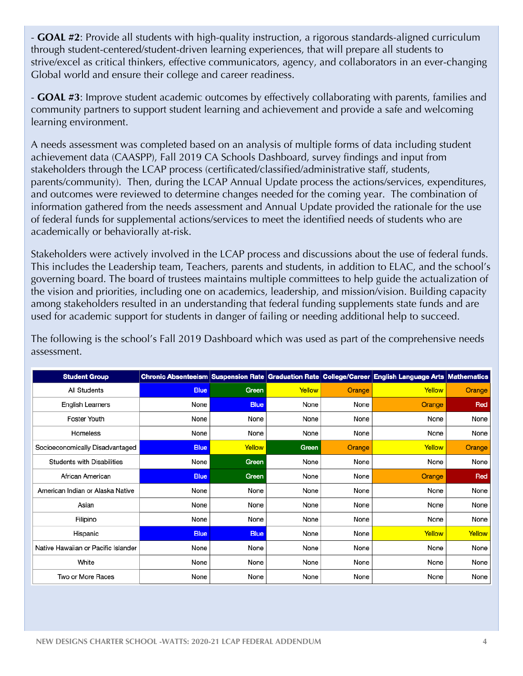- **GOAL #2**: Provide all students with high-quality instruction, a rigorous standards-aligned curriculum through student-centered/student-driven learning experiences, that will prepare all students to strive/excel as critical thinkers, effective communicators, agency, and collaborators in an ever-changing Global world and ensure their college and career readiness.

- **GOAL #3**: Improve student academic outcomes by effectively collaborating with parents, families and community partners to support student learning and achievement and provide a safe and welcoming learning environment.

A needs assessment was completed based on an analysis of multiple forms of data including student achievement data (CAASPP), Fall 2019 CA Schools Dashboard, survey findings and input from stakeholders through the LCAP process (certificated/classified/administrative staff, students, parents/community). Then, during the LCAP Annual Update process the actions/services, expenditures, and outcomes were reviewed to determine changes needed for the coming year. The combination of information gathered from the needs assessment and Annual Update provided the rationale for the use of federal funds for supplemental actions/services to meet the identified needs of students who are academically or behaviorally at-risk.

Stakeholders were actively involved in the LCAP process and discussions about the use of federal funds. This includes the Leadership team, Teachers, parents and students, in addition to ELAC, and the school's governing board. The board of trustees maintains multiple committees to help guide the actualization of the vision and priorities, including one on academics, leadership, and mission/vision. Building capacity among stakeholders resulted in an understanding that federal funding supplements state funds and are used for academic support for students in danger of failing or needing additional help to succeed.

The following is the school's Fall 2019 Dashboard which was used as part of the comprehensive needs assessment.

| <b>Student Group</b>                |             |             |        |        | Chronic Absenteeism Suspension Rate Graduation Rate College/Career English Language Arts Mathematics |        |
|-------------------------------------|-------------|-------------|--------|--------|------------------------------------------------------------------------------------------------------|--------|
| All Students                        | <b>Blue</b> | Green       | Yellow | Orange | Yellow                                                                                               | Orange |
| <b>English Learners</b>             | None        | <b>Blue</b> | None   | None   | Orange                                                                                               | Red    |
| <b>Foster Youth</b>                 | None        | None        | None   | None   | None                                                                                                 | None   |
| Homeless                            | None        | None        | None   | None   | None                                                                                                 | None   |
| Socioeconomically Disadvantaged     | <b>Blue</b> | Yellow      | Green  | Orange | Yellow                                                                                               | Orange |
| <b>Students with Disabilities</b>   | None        | Green       | None   | None   | None                                                                                                 | None   |
| African American                    | <b>Blue</b> | Green       | None   | None   | Orange                                                                                               | Red    |
| American Indian or Alaska Native    | None        | None        | None   | None   | None                                                                                                 | None   |
| Asian                               | None        | None        | None   | None   | None                                                                                                 | None   |
| Filipino                            | None        | None        | None   | None   | None                                                                                                 | None   |
| Hispanic                            | <b>Blue</b> | <b>Blue</b> | None   | None   | Yellow                                                                                               | Yellow |
| Native Hawaiian or Pacific Islander | None        | None        | None   | None   | None                                                                                                 | None   |
| White                               | None        | None        | None   | None   | None                                                                                                 | None   |
| Two or More Races                   | None        | None        | None   | None   | None                                                                                                 | None   |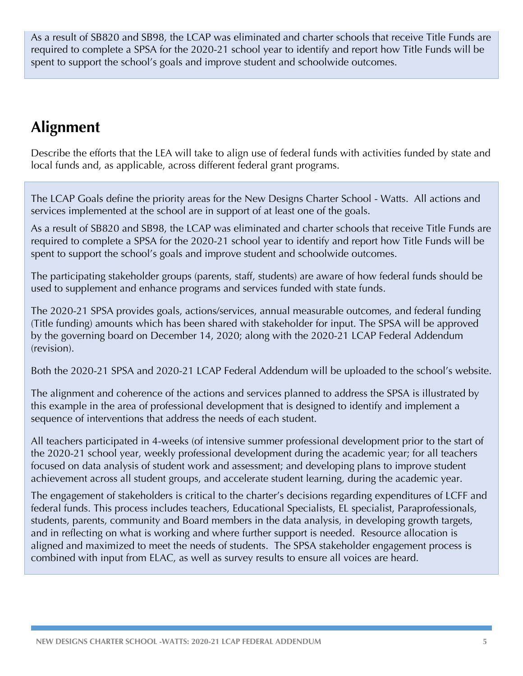As a result of SB820 and SB98, the LCAP was eliminated and charter schools that receive Title Funds are required to complete a SPSA for the 2020-21 school year to identify and report how Title Funds will be spent to support the school's goals and improve student and schoolwide outcomes.

# **Alignment**

Describe the efforts that the LEA will take to align use of federal funds with activities funded by state and local funds and, as applicable, across different federal grant programs.

The LCAP Goals define the priority areas for the New Designs Charter School - Watts. All actions and services implemented at the school are in support of at least one of the goals.

As a result of SB820 and SB98, the LCAP was eliminated and charter schools that receive Title Funds are required to complete a SPSA for the 2020-21 school year to identify and report how Title Funds will be spent to support the school's goals and improve student and schoolwide outcomes.

The participating stakeholder groups (parents, staff, students) are aware of how federal funds should be used to supplement and enhance programs and services funded with state funds.

The 2020-21 SPSA provides goals, actions/services, annual measurable outcomes, and federal funding (Title funding) amounts which has been shared with stakeholder for input. The SPSA will be approved by the governing board on December 14, 2020; along with the 2020-21 LCAP Federal Addendum (revision).

Both the 2020-21 SPSA and 2020-21 LCAP Federal Addendum will be uploaded to the school's website.

The alignment and coherence of the actions and services planned to address the SPSA is illustrated by this example in the area of professional development that is designed to identify and implement a sequence of interventions that address the needs of each student.

All teachers participated in 4-weeks (of intensive summer professional development prior to the start of the 2020-21 school year, weekly professional development during the academic year; for all teachers focused on data analysis of student work and assessment; and developing plans to improve student achievement across all student groups, and accelerate student learning, during the academic year.

The engagement of stakeholders is critical to the charter's decisions regarding expenditures of LCFF and federal funds. This process includes teachers, Educational Specialists, EL specialist, Paraprofessionals, students, parents, community and Board members in the data analysis, in developing growth targets, and in reflecting on what is working and where further support is needed. Resource allocation is aligned and maximized to meet the needs of students. The SPSA stakeholder engagement process is combined with input from ELAC, as well as survey results to ensure all voices are heard.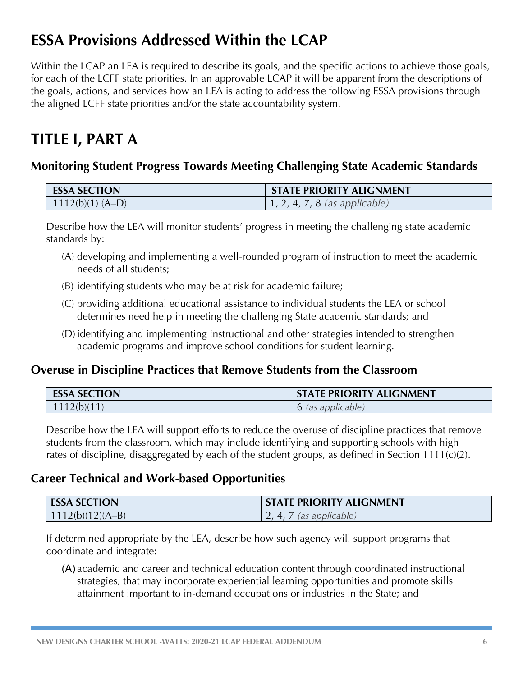# **ESSA Provisions Addressed Within the LCAP**

Within the LCAP an LEA is required to describe its goals, and the specific actions to achieve those goals, for each of the LCFF state priorities. In an approvable LCAP it will be apparent from the descriptions of the goals, actions, and services how an LEA is acting to address the following ESSA provisions through the aligned LCFF state priorities and/or the state accountability system.

# **TITLE I, PART A**

# **Monitoring Student Progress Towards Meeting Challenging State Academic Standards**

| <b>ESSA SECTION</b> | <b>STATE PRIORITY ALIGNMENT</b>       |
|---------------------|---------------------------------------|
| $1112(b)(1) (A-D)$  | $\vert 1, 2, 4, 7, 8$ (as applicable) |

Describe how the LEA will monitor students' progress in meeting the challenging state academic standards by:

- (A) developing and implementing a well-rounded program of instruction to meet the academic needs of all students;
- (B) identifying students who may be at risk for academic failure;
- (C) providing additional educational assistance to individual students the LEA or school determines need help in meeting the challenging State academic standards; and
- (D) identifying and implementing instructional and other strategies intended to strengthen academic programs and improve school conditions for student learning.

# **Overuse in Discipline Practices that Remove Students from the Classroom**

| <b>ESSA SECTION</b> | <b>STATE PRIORITY ALIGNMENT</b> |
|---------------------|---------------------------------|
| 1112(b)(11)         | 6 (as applicable)               |

Describe how the LEA will support efforts to reduce the overuse of discipline practices that remove students from the classroom, which may include identifying and supporting schools with high rates of discipline, disaggregated by each of the student groups, as defined in Section 1111(c)(2).

### **Career Technical and Work-based Opportunities**

| <b>ESSA SECTION</b> | <b>STATE PRIORITY ALIGNMENT</b> |
|---------------------|---------------------------------|
| $1112(b)(12)(A-B)$  | $\frac{7}{3}$ (as applicable)   |

If determined appropriate by the LEA, describe how such agency will support programs that coordinate and integrate:

(A) academic and career and technical education content through coordinated instructional strategies, that may incorporate experiential learning opportunities and promote skills attainment important to in-demand occupations or industries in the State; and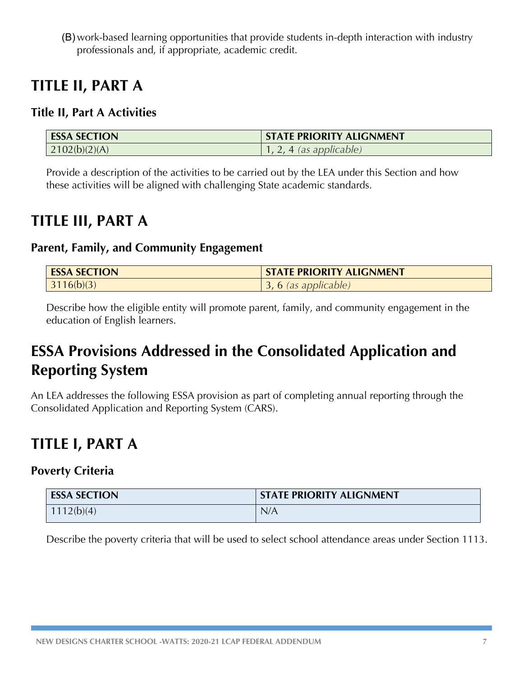(B) work-based learning opportunities that provide students in-depth interaction with industry professionals and, if appropriate, academic credit.

# **TITLE II, PART A**

# **Title II, Part A Activities**

| <b>ESSA SECTION</b> | <b>STATE PRIORITY ALIGNMENT</b> |
|---------------------|---------------------------------|
| 2102(b)(2)(A)       | . 4 (as applicable)             |

Provide a description of the activities to be carried out by the LEA under this Section and how these activities will be aligned with challenging State academic standards.

# **TITLE III, PART A**

### **Parent, Family, and Community Engagement**

| <b>ESSA SECTION</b> | <b>STATE PRIORITY ALIGNMENT</b> |
|---------------------|---------------------------------|
| 3116(b)(3)          | 3, 6 (as applicable)            |

Describe how the eligible entity will promote parent, family, and community engagement in the education of English learners.

# **ESSA Provisions Addressed in the Consolidated Application and Reporting System**

An LEA addresses the following ESSA provision as part of completing annual reporting through the Consolidated Application and Reporting System (CARS).

# **TITLE I, PART A**

### **Poverty Criteria**

| <b>ESSA SECTION</b> | <b>STATE PRIORITY ALIGNMENT</b> |
|---------------------|---------------------------------|
| 1112(b)(4)          | N/A                             |

Describe the poverty criteria that will be used to select school attendance areas under Section 1113.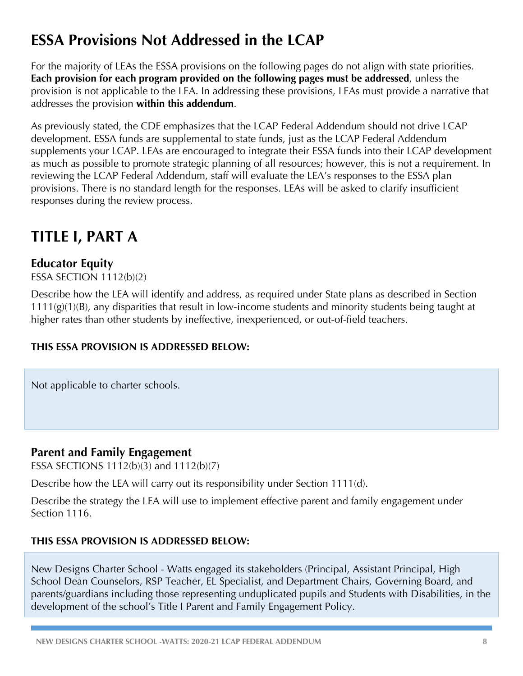# **ESSA Provisions Not Addressed in the LCAP**

For the majority of LEAs the ESSA provisions on the following pages do not align with state priorities. **Each provision for each program provided on the following pages must be addressed**, unless the provision is not applicable to the LEA. In addressing these provisions, LEAs must provide a narrative that addresses the provision **within this addendum**.

As previously stated, the CDE emphasizes that the LCAP Federal Addendum should not drive LCAP development. ESSA funds are supplemental to state funds, just as the LCAP Federal Addendum supplements your LCAP. LEAs are encouraged to integrate their ESSA funds into their LCAP development as much as possible to promote strategic planning of all resources; however, this is not a requirement. In reviewing the LCAP Federal Addendum, staff will evaluate the LEA's responses to the ESSA plan provisions. There is no standard length for the responses. LEAs will be asked to clarify insufficient responses during the review process.

# **TITLE I, PART A**

# **Educator Equity**

ESSA SECTION 1112(b)(2)

Describe how the LEA will identify and address, as required under State plans as described in Section 1111(g)(1)(B), any disparities that result in low-income students and minority students being taught at higher rates than other students by ineffective, inexperienced, or out-of-field teachers.

### **THIS ESSA PROVISION IS ADDRESSED BELOW:**

Not applicable to charter schools.

### **Parent and Family Engagement**

ESSA SECTIONS 1112(b)(3) and 1112(b)(7)

Describe how the LEA will carry out its responsibility under Section 1111(d).

Describe the strategy the LEA will use to implement effective parent and family engagement under Section 1116.

#### **THIS ESSA PROVISION IS ADDRESSED BELOW:**

New Designs Charter School - Watts engaged its stakeholders (Principal, Assistant Principal, High School Dean Counselors, RSP Teacher, EL Specialist, and Department Chairs, Governing Board, and parents/guardians including those representing unduplicated pupils and Students with Disabilities, in the development of the school's Title I Parent and Family Engagement Policy.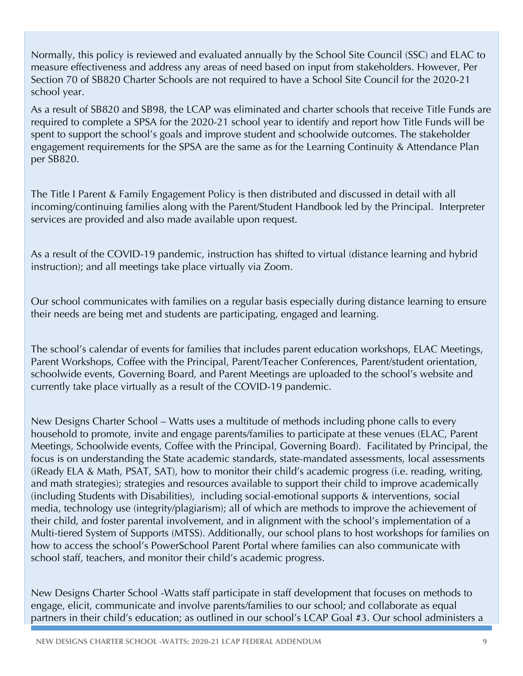Normally, this policy is reviewed and evaluated annually by the School Site Council (SSC) and ELAC to measure effectiveness and address any areas of need based on input from stakeholders. However, Per Section 70 of SB820 Charter Schools are not required to have a School Site Council for the 2020-21 school year.

As a result of SB820 and SB98, the LCAP was eliminated and charter schools that receive Title Funds are required to complete a SPSA for the 2020-21 school year to identify and report how Title Funds will be spent to support the school's goals and improve student and schoolwide outcomes. The stakeholder engagement requirements for the SPSA are the same as for the Learning Continuity & Attendance Plan per SB820.

The Title I Parent & Family Engagement Policy is then distributed and discussed in detail with all incoming/continuing families along with the Parent/Student Handbook led by the Principal. Interpreter services are provided and also made available upon request.

As a result of the COVID-19 pandemic, instruction has shifted to virtual (distance learning and hybrid instruction); and all meetings take place virtually via Zoom.

Our school communicates with families on a regular basis especially during distance learning to ensure their needs are being met and students are participating, engaged and learning.

The school's calendar of events for families that includes parent education workshops, ELAC Meetings, Parent Workshops, Coffee with the Principal, Parent/Teacher Conferences, Parent/student orientation, schoolwide events, Governing Board, and Parent Meetings are uploaded to the school's website and currently take place virtually as a result of the COVID-19 pandemic.

New Designs Charter School – Watts uses a multitude of methods including phone calls to every household to promote, invite and engage parents/families to participate at these venues (ELAC, Parent Meetings, Schoolwide events, Coffee with the Principal, Governing Board). Facilitated by Principal, the focus is on understanding the State academic standards, state-mandated assessments, local assessments (iReady ELA & Math, PSAT, SAT), how to monitor their child's academic progress (i.e. reading, writing, and math strategies); strategies and resources available to support their child to improve academically (including Students with Disabilities), including social-emotional supports & interventions, social media, technology use (integrity/plagiarism); all of which are methods to improve the achievement of their child, and foster parental involvement, and in alignment with the school's implementation of a Multi-tiered System of Supports (MTSS). Additionally, our school plans to host workshops for families on how to access the school's PowerSchool Parent Portal where families can also communicate with school staff, teachers, and monitor their child's academic progress.

New Designs Charter School -Watts staff participate in staff development that focuses on methods to engage, elicit, communicate and involve parents/families to our school; and collaborate as equal partners in their child's education; as outlined in our school's LCAP Goal #3. Our school administers a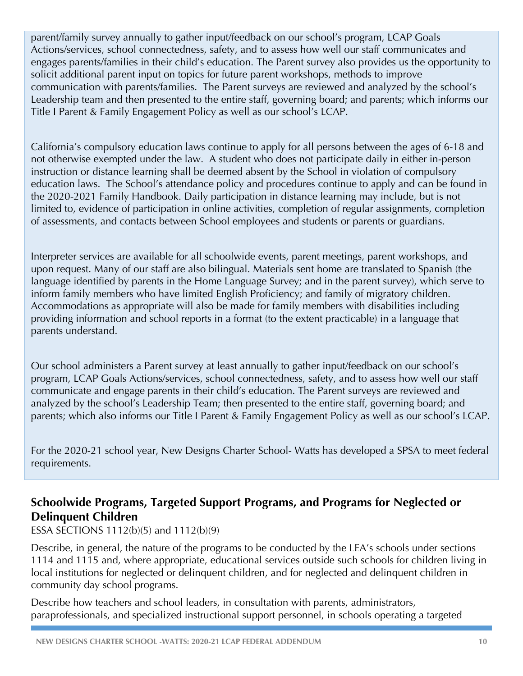parent/family survey annually to gather input/feedback on our school's program, LCAP Goals Actions/services, school connectedness, safety, and to assess how well our staff communicates and engages parents/families in their child's education. The Parent survey also provides us the opportunity to solicit additional parent input on topics for future parent workshops, methods to improve communication with parents/families. The Parent surveys are reviewed and analyzed by the school's Leadership team and then presented to the entire staff, governing board; and parents; which informs our Title I Parent & Family Engagement Policy as well as our school's LCAP.

California's compulsory education laws continue to apply for all persons between the ages of 6-18 and not otherwise exempted under the law. A student who does not participate daily in either in-person instruction or distance learning shall be deemed absent by the School in violation of compulsory education laws. The School's attendance policy and procedures continue to apply and can be found in the 2020-2021 Family Handbook. Daily participation in distance learning may include, but is not limited to, evidence of participation in online activities, completion of regular assignments, completion of assessments, and contacts between School employees and students or parents or guardians.

Interpreter services are available for all schoolwide events, parent meetings, parent workshops, and upon request. Many of our staff are also bilingual. Materials sent home are translated to Spanish (the language identified by parents in the Home Language Survey; and in the parent survey), which serve to inform family members who have limited English Proficiency; and family of migratory children. Accommodations as appropriate will also be made for family members with disabilities including providing information and school reports in a format (to the extent practicable) in a language that parents understand.

Our school administers a Parent survey at least annually to gather input/feedback on our school's program, LCAP Goals Actions/services, school connectedness, safety, and to assess how well our staff communicate and engage parents in their child's education. The Parent surveys are reviewed and analyzed by the school's Leadership Team; then presented to the entire staff, governing board; and parents; which also informs our Title I Parent & Family Engagement Policy as well as our school's LCAP.

For the 2020-21 school year, New Designs Charter School- Watts has developed a SPSA to meet federal requirements.

# **Schoolwide Programs, Targeted Support Programs, and Programs for Neglected or Delinquent Children**

ESSA SECTIONS 1112(b)(5) and 1112(b)(9)

Describe, in general, the nature of the programs to be conducted by the LEA's schools under sections 1114 and 1115 and, where appropriate, educational services outside such schools for children living in local institutions for neglected or delinquent children, and for neglected and delinquent children in community day school programs.

Describe how teachers and school leaders, in consultation with parents, administrators, paraprofessionals, and specialized instructional support personnel, in schools operating a targeted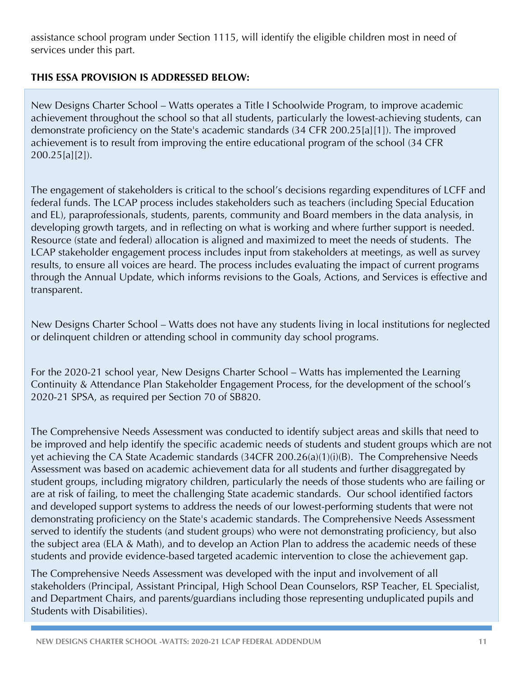assistance school program under Section 1115, will identify the eligible children most in need of services under this part.

### **THIS ESSA PROVISION IS ADDRESSED BELOW:**

New Designs Charter School – Watts operates a Title I Schoolwide Program, to improve academic achievement throughout the school so that all students, particularly the lowest-achieving students, can demonstrate proficiency on the State's academic standards (34 CFR 200.25[a][1]). The improved achievement is to result from improving the entire educational program of the school (34 CFR 200.25[a][2]).

The engagement of stakeholders is critical to the school's decisions regarding expenditures of LCFF and federal funds. The LCAP process includes stakeholders such as teachers (including Special Education and EL), paraprofessionals, students, parents, community and Board members in the data analysis, in developing growth targets, and in reflecting on what is working and where further support is needed. Resource (state and federal) allocation is aligned and maximized to meet the needs of students. The LCAP stakeholder engagement process includes input from stakeholders at meetings, as well as survey results, to ensure all voices are heard. The process includes evaluating the impact of current programs through the Annual Update, which informs revisions to the Goals, Actions, and Services is effective and transparent.

New Designs Charter School – Watts does not have any students living in local institutions for neglected or delinquent children or attending school in community day school programs.

For the 2020-21 school year, New Designs Charter School – Watts has implemented the Learning Continuity & Attendance Plan Stakeholder Engagement Process, for the development of the school's 2020-21 SPSA, as required per Section 70 of SB820.

The Comprehensive Needs Assessment was conducted to identify subject areas and skills that need to be improved and help identify the specific academic needs of students and student groups which are not yet achieving the CA State Academic standards (34CFR 200.26(a)(1)(i)(B). The Comprehensive Needs Assessment was based on academic achievement data for all students and further disaggregated by student groups, including migratory children, particularly the needs of those students who are failing or are at risk of failing, to meet the challenging State academic standards. Our school identified factors and developed support systems to address the needs of our lowest-performing students that were not demonstrating proficiency on the State's academic standards. The Comprehensive Needs Assessment served to identify the students (and student groups) who were not demonstrating proficiency, but also the subject area (ELA & Math), and to develop an Action Plan to address the academic needs of these students and provide evidence-based targeted academic intervention to close the achievement gap.

The Comprehensive Needs Assessment was developed with the input and involvement of all stakeholders (Principal, Assistant Principal, High School Dean Counselors, RSP Teacher, EL Specialist, and Department Chairs, and parents/guardians including those representing unduplicated pupils and Students with Disabilities).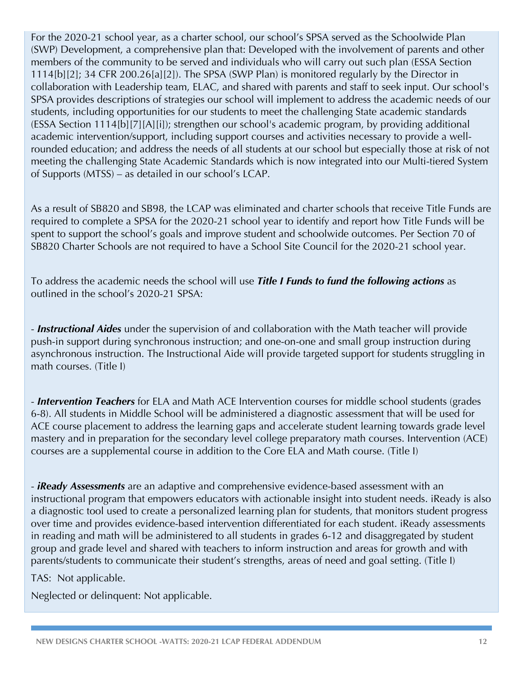For the 2020-21 school year, as a charter school, our school's SPSA served as the Schoolwide Plan (SWP) Development, a comprehensive plan that: Developed with the involvement of parents and other members of the community to be served and individuals who will carry out such plan (ESSA Section 1114[b][2]; 34 CFR 200.26[a][2]). The SPSA (SWP Plan) is monitored regularly by the Director in collaboration with Leadership team, ELAC, and shared with parents and staff to seek input. Our school's SPSA provides descriptions of strategies our school will implement to address the academic needs of our students, including opportunities for our students to meet the challenging State academic standards (ESSA Section 1114[b][7][A][i]); strengthen our school's academic program, by providing additional academic intervention/support, including support courses and activities necessary to provide a wellrounded education; and address the needs of all students at our school but especially those at risk of not meeting the challenging State Academic Standards which is now integrated into our Multi-tiered System of Supports (MTSS) – as detailed in our school's LCAP.

As a result of SB820 and SB98, the LCAP was eliminated and charter schools that receive Title Funds are required to complete a SPSA for the 2020-21 school year to identify and report how Title Funds will be spent to support the school's goals and improve student and schoolwide outcomes. Per Section 70 of SB820 Charter Schools are not required to have a School Site Council for the 2020-21 school year.

To address the academic needs the school will use *Title I Funds to fund the following actions* as outlined in the school's 2020-21 SPSA:

- *Instructional Aides* under the supervision of and collaboration with the Math teacher will provide push-in support during synchronous instruction; and one-on-one and small group instruction during asynchronous instruction. The Instructional Aide will provide targeted support for students struggling in math courses. (Title I)

- *Intervention Teachers* for ELA and Math ACE Intervention courses for middle school students (grades 6-8). All students in Middle School will be administered a diagnostic assessment that will be used for ACE course placement to address the learning gaps and accelerate student learning towards grade level mastery and in preparation for the secondary level college preparatory math courses. Intervention (ACE) courses are a supplemental course in addition to the Core ELA and Math course. (Title I)

- *iReady Assessments* are an adaptive and comprehensive evidence-based assessment with an instructional program that empowers educators with actionable insight into student needs. iReady is also a diagnostic tool used to create a personalized learning plan for students, that monitors student progress over time and provides evidence-based intervention differentiated for each student. iReady assessments in reading and math will be administered to all students in grades 6-12 and disaggregated by student group and grade level and shared with teachers to inform instruction and areas for growth and with parents/students to communicate their student's strengths, areas of need and goal setting. (Title I)

TAS: Not applicable.

Neglected or delinquent: Not applicable.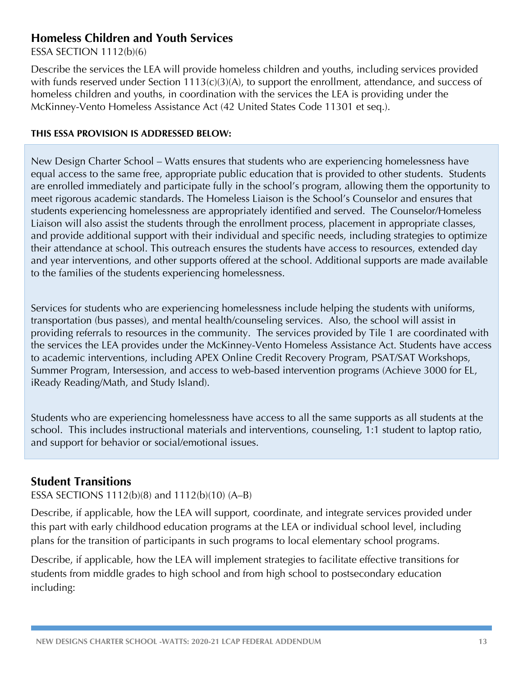### **Homeless Children and Youth Services**

ESSA SECTION 1112(b)(6)

Describe the services the LEA will provide homeless children and youths, including services provided with funds reserved under Section 1113(c)(3)(A), to support the enrollment, attendance, and success of homeless children and youths, in coordination with the services the LEA is providing under the McKinney-Vento Homeless Assistance Act (42 United States Code 11301 et seq.).

#### **THIS ESSA PROVISION IS ADDRESSED BELOW:**

New Design Charter School – Watts ensures that students who are experiencing homelessness have equal access to the same free, appropriate public education that is provided to other students. Students are enrolled immediately and participate fully in the school's program, allowing them the opportunity to meet rigorous academic standards. The Homeless Liaison is the School's Counselor and ensures that students experiencing homelessness are appropriately identified and served. The Counselor/Homeless Liaison will also assist the students through the enrollment process, placement in appropriate classes, and provide additional support with their individual and specific needs, including strategies to optimize their attendance at school. This outreach ensures the students have access to resources, extended day and year interventions, and other supports offered at the school. Additional supports are made available to the families of the students experiencing homelessness.

Services for students who are experiencing homelessness include helping the students with uniforms, transportation (bus passes), and mental health/counseling services. Also, the school will assist in providing referrals to resources in the community. The services provided by Tile 1 are coordinated with the services the LEA provides under the McKinney-Vento Homeless Assistance Act. Students have access to academic interventions, including APEX Online Credit Recovery Program, PSAT/SAT Workshops, Summer Program, Intersession, and access to web-based intervention programs (Achieve 3000 for EL, iReady Reading/Math, and Study Island).

Students who are experiencing homelessness have access to all the same supports as all students at the school. This includes instructional materials and interventions, counseling, 1:1 student to laptop ratio, and support for behavior or social/emotional issues.

### **Student Transitions**

#### ESSA SECTIONS 1112(b)(8) and 1112(b)(10) (A–B)

Describe, if applicable, how the LEA will support, coordinate, and integrate services provided under this part with early childhood education programs at the LEA or individual school level, including plans for the transition of participants in such programs to local elementary school programs.

Describe, if applicable, how the LEA will implement strategies to facilitate effective transitions for students from middle grades to high school and from high school to postsecondary education including: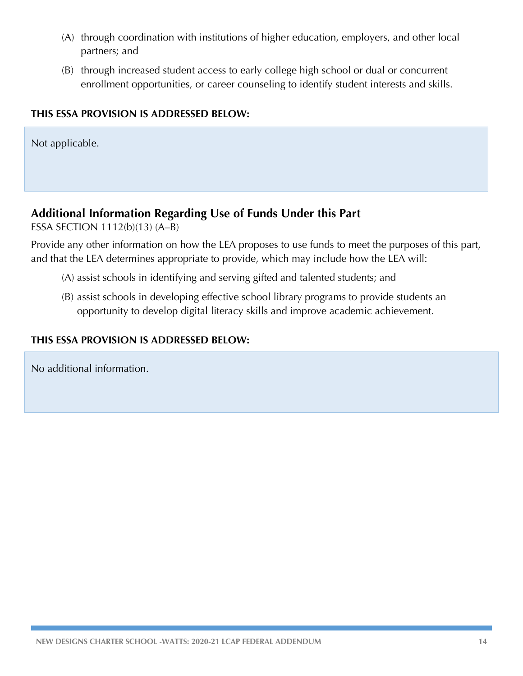- (A) through coordination with institutions of higher education, employers, and other local partners; and
- (B) through increased student access to early college high school or dual or concurrent enrollment opportunities, or career counseling to identify student interests and skills.

#### **THIS ESSA PROVISION IS ADDRESSED BELOW:**

Not applicable.

### **Additional Information Regarding Use of Funds Under this Part**

ESSA SECTION 1112(b)(13) (A–B)

Provide any other information on how the LEA proposes to use funds to meet the purposes of this part, and that the LEA determines appropriate to provide, which may include how the LEA will:

- (A) assist schools in identifying and serving gifted and talented students; and
- (B) assist schools in developing effective school library programs to provide students an opportunity to develop digital literacy skills and improve academic achievement.

#### **THIS ESSA PROVISION IS ADDRESSED BELOW:**

No additional information.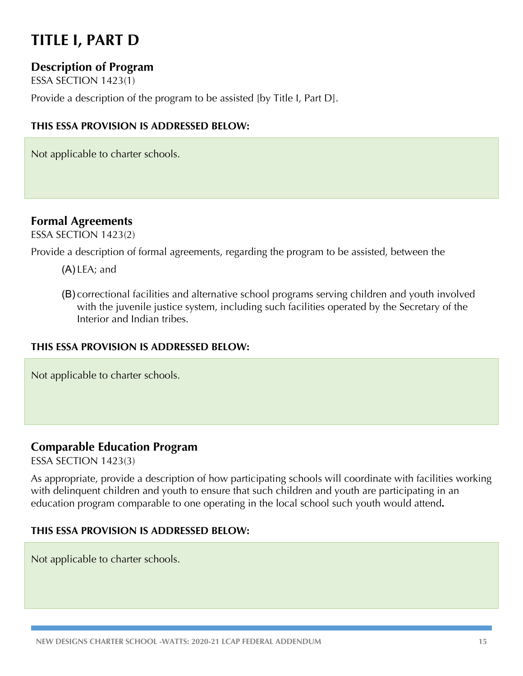# **TITLE I, PART D**

### **Description of Program**

ESSA SECTION 1423(1)

Provide a description of the program to be assisted [by Title I, Part D].

#### **THIS ESSA PROVISION IS ADDRESSED BELOW:**

Not applicable to charter schools.

### **Formal Agreements**

ESSA SECTION 1423(2)

Provide a description of formal agreements, regarding the program to be assisted, between the

- (A) LEA; and
- (B) correctional facilities and alternative school programs serving children and youth involved with the juvenile justice system, including such facilities operated by the Secretary of the Interior and Indian tribes.

#### **THIS ESSA PROVISION IS ADDRESSED BELOW:**

Not applicable to charter schools.

### **Comparable Education Program**

ESSA SECTION 1423(3)

As appropriate, provide a description of how participating schools will coordinate with facilities working with delinquent children and youth to ensure that such children and youth are participating in an education program comparable to one operating in the local school such youth would attend**.**

#### **THIS ESSA PROVISION IS ADDRESSED BELOW:**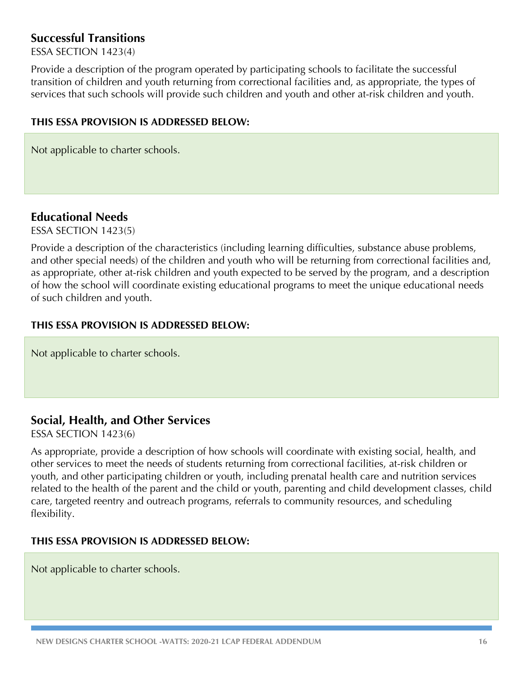### **Successful Transitions**

ESSA SECTION 1423(4)

Provide a description of the program operated by participating schools to facilitate the successful transition of children and youth returning from correctional facilities and, as appropriate, the types of services that such schools will provide such children and youth and other at-risk children and youth.

#### **THIS ESSA PROVISION IS ADDRESSED BELOW:**

Not applicable to charter schools.

### **Educational Needs**

ESSA SECTION 1423(5)

Provide a description of the characteristics (including learning difficulties, substance abuse problems, and other special needs) of the children and youth who will be returning from correctional facilities and, as appropriate, other at-risk children and youth expected to be served by the program, and a description of how the school will coordinate existing educational programs to meet the unique educational needs of such children and youth.

#### **THIS ESSA PROVISION IS ADDRESSED BELOW:**

Not applicable to charter schools.

### **Social, Health, and Other Services**

ESSA SECTION 1423(6)

As appropriate, provide a description of how schools will coordinate with existing social, health, and other services to meet the needs of students returning from correctional facilities, at-risk children or youth, and other participating children or youth, including prenatal health care and nutrition services related to the health of the parent and the child or youth, parenting and child development classes, child care, targeted reentry and outreach programs, referrals to community resources, and scheduling flexibility.

#### **THIS ESSA PROVISION IS ADDRESSED BELOW:**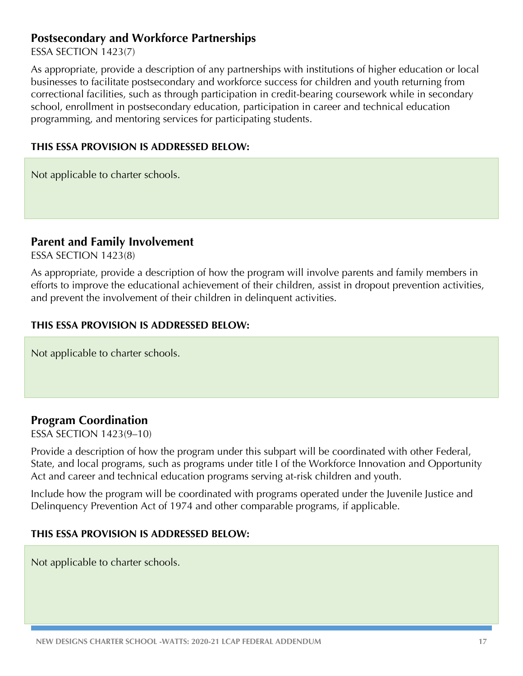### **Postsecondary and Workforce Partnerships**

ESSA SECTION 1423(7)

As appropriate, provide a description of any partnerships with institutions of higher education or local businesses to facilitate postsecondary and workforce success for children and youth returning from correctional facilities, such as through participation in credit-bearing coursework while in secondary school, enrollment in postsecondary education, participation in career and technical education programming, and mentoring services for participating students.

#### **THIS ESSA PROVISION IS ADDRESSED BELOW:**

Not applicable to charter schools.

#### **Parent and Family Involvement**

ESSA SECTION 1423(8)

As appropriate, provide a description of how the program will involve parents and family members in efforts to improve the educational achievement of their children, assist in dropout prevention activities, and prevent the involvement of their children in delinquent activities.

#### **THIS ESSA PROVISION IS ADDRESSED BELOW:**

Not applicable to charter schools.

### **Program Coordination**

ESSA SECTION 1423(9–10)

Provide a description of how the program under this subpart will be coordinated with other Federal, State, and local programs, such as programs under title I of the Workforce Innovation and Opportunity Act and career and technical education programs serving at-risk children and youth.

Include how the program will be coordinated with programs operated under the Juvenile Justice and Delinquency Prevention Act of 1974 and other comparable programs, if applicable.

#### **THIS ESSA PROVISION IS ADDRESSED BELOW:**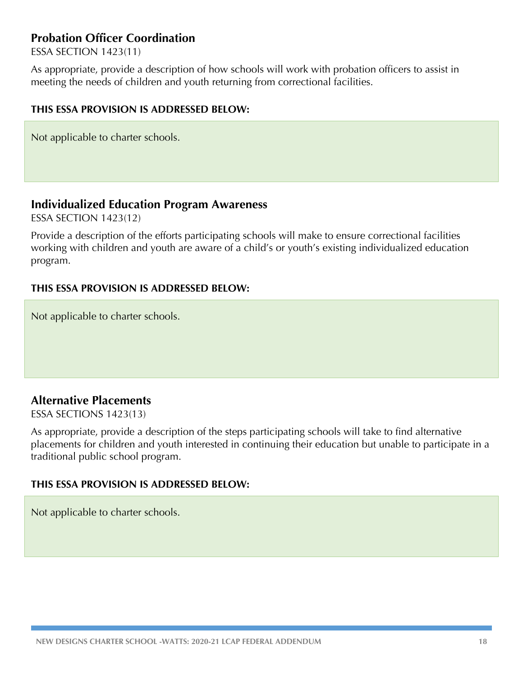### **Probation Officer Coordination**

ESSA SECTION 1423(11)

As appropriate, provide a description of how schools will work with probation officers to assist in meeting the needs of children and youth returning from correctional facilities.

#### **THIS ESSA PROVISION IS ADDRESSED BELOW:**

Not applicable to charter schools.

#### **Individualized Education Program Awareness**

ESSA SECTION 1423(12)

Provide a description of the efforts participating schools will make to ensure correctional facilities working with children and youth are aware of a child's or youth's existing individualized education program.

#### **THIS ESSA PROVISION IS ADDRESSED BELOW:**

Not applicable to charter schools.

### **Alternative Placements**

ESSA SECTIONS 1423(13)

As appropriate, provide a description of the steps participating schools will take to find alternative placements for children and youth interested in continuing their education but unable to participate in a traditional public school program.

#### **THIS ESSA PROVISION IS ADDRESSED BELOW:**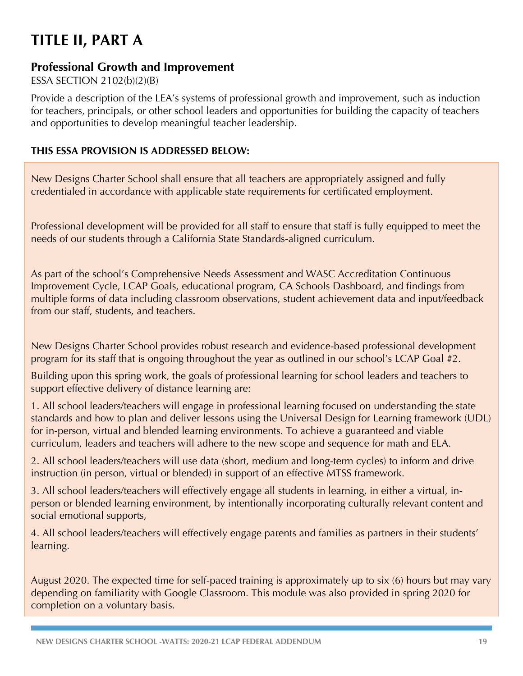# **TITLE II, PART A**

### **Professional Growth and Improvement**

ESSA SECTION 2102(b)(2)(B)

Provide a description of the LEA's systems of professional growth and improvement, such as induction for teachers, principals, or other school leaders and opportunities for building the capacity of teachers and opportunities to develop meaningful teacher leadership.

### **THIS ESSA PROVISION IS ADDRESSED BELOW:**

New Designs Charter School shall ensure that all teachers are appropriately assigned and fully credentialed in accordance with applicable state requirements for certificated employment.

Professional development will be provided for all staff to ensure that staff is fully equipped to meet the needs of our students through a California State Standards-aligned curriculum.

As part of the school's Comprehensive Needs Assessment and WASC Accreditation Continuous Improvement Cycle, LCAP Goals, educational program, CA Schools Dashboard, and findings from multiple forms of data including classroom observations, student achievement data and input/feedback from our staff, students, and teachers.

New Designs Charter School provides robust research and evidence-based professional development program for its staff that is ongoing throughout the year as outlined in our school's LCAP Goal #2.

Building upon this spring work, the goals of professional learning for school leaders and teachers to support effective delivery of distance learning are:

1. All school leaders/teachers will engage in professional learning focused on understanding the state standards and how to plan and deliver lessons using the Universal Design for Learning framework (UDL) for in-person, virtual and blended learning environments. To achieve a guaranteed and viable curriculum, leaders and teachers will adhere to the new scope and sequence for math and ELA.

2. All school leaders/teachers will use data (short, medium and long-term cycles) to inform and drive instruction (in person, virtual or blended) in support of an effective MTSS framework.

3. All school leaders/teachers will effectively engage all students in learning, in either a virtual, inperson or blended learning environment, by intentionally incorporating culturally relevant content and social emotional supports,

4. All school leaders/teachers will effectively engage parents and families as partners in their students' learning.

August 2020. The expected time for self-paced training is approximately up to six (6) hours but may vary depending on familiarity with Google Classroom. This module was also provided in spring 2020 for completion on a voluntary basis.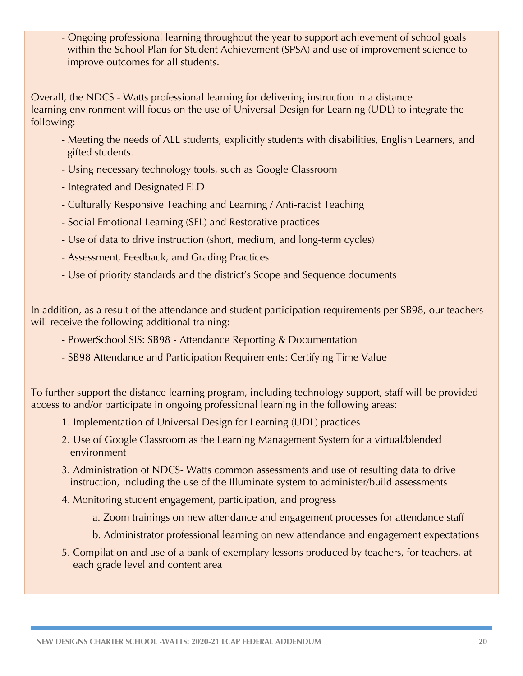- Ongoing professional learning throughout the year to support achievement of school goals within the School Plan for Student Achievement (SPSA) and use of improvement science to improve outcomes for all students.

Overall, the NDCS - Watts professional learning for delivering instruction in a distance learning environment will focus on the use of Universal Design for Learning (UDL) to integrate the following:

- Meeting the needs of ALL students, explicitly students with disabilities, English Learners, and gifted students.
- Using necessary technology tools, such as Google Classroom
- Integrated and Designated ELD
- Culturally Responsive Teaching and Learning / Anti-racist Teaching
- Social Emotional Learning (SEL) and Restorative practices
- Use of data to drive instruction (short, medium, and long-term cycles)
- Assessment, Feedback, and Grading Practices
- Use of priority standards and the district's Scope and Sequence documents

In addition, as a result of the attendance and student participation requirements per SB98, our teachers will receive the following additional training:

- PowerSchool SIS: SB98 Attendance Reporting & Documentation
- SB98 Attendance and Participation Requirements: Certifying Time Value

To further support the distance learning program, including technology support, staff will be provided access to and/or participate in ongoing professional learning in the following areas:

- 1. Implementation of Universal Design for Learning (UDL) practices
- 2. Use of Google Classroom as the Learning Management System for a virtual/blended environment
- 3. Administration of NDCS- Watts common assessments and use of resulting data to drive instruction, including the use of the Illuminate system to administer/build assessments
- 4. Monitoring student engagement, participation, and progress
	- a. Zoom trainings on new attendance and engagement processes for attendance staff
	- b. Administrator professional learning on new attendance and engagement expectations
- 5. Compilation and use of a bank of exemplary lessons produced by teachers, for teachers, at each grade level and content area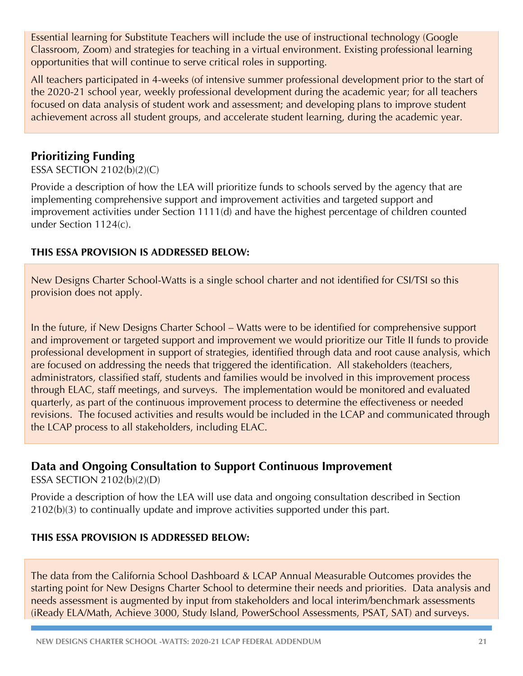Essential learning for Substitute Teachers will include the use of instructional technology (Google Classroom, Zoom) and strategies for teaching in a virtual environment. Existing professional learning opportunities that will continue to serve critical roles in supporting.

All teachers participated in 4-weeks (of intensive summer professional development prior to the start of the 2020-21 school year, weekly professional development during the academic year; for all teachers focused on data analysis of student work and assessment; and developing plans to improve student achievement across all student groups, and accelerate student learning, during the academic year.

## **Prioritizing Funding**

#### ESSA SECTION 2102(b)(2)(C)

Provide a description of how the LEA will prioritize funds to schools served by the agency that are implementing comprehensive support and improvement activities and targeted support and improvement activities under Section 1111(d) and have the highest percentage of children counted under Section 1124(c).

#### **THIS ESSA PROVISION IS ADDRESSED BELOW:**

New Designs Charter School-Watts is a single school charter and not identified for CSI/TSI so this provision does not apply.

In the future, if New Designs Charter School – Watts were to be identified for comprehensive support and improvement or targeted support and improvement we would prioritize our Title II funds to provide professional development in support of strategies, identified through data and root cause analysis, which are focused on addressing the needs that triggered the identification. All stakeholders (teachers, administrators, classified staff, students and families would be involved in this improvement process through ELAC, staff meetings, and surveys. The implementation would be monitored and evaluated quarterly, as part of the continuous improvement process to determine the effectiveness or needed revisions. The focused activities and results would be included in the LCAP and communicated through the LCAP process to all stakeholders, including ELAC.

### **Data and Ongoing Consultation to Support Continuous Improvement**

ESSA SECTION 2102(b)(2)(D)

Provide a description of how the LEA will use data and ongoing consultation described in Section 2102(b)(3) to continually update and improve activities supported under this part.

#### **THIS ESSA PROVISION IS ADDRESSED BELOW:**

The data from the California School Dashboard & LCAP Annual Measurable Outcomes provides the starting point for New Designs Charter School to determine their needs and priorities. Data analysis and needs assessment is augmented by input from stakeholders and local interim/benchmark assessments (iReady ELA/Math, Achieve 3000, Study Island, PowerSchool Assessments, PSAT, SAT) and surveys.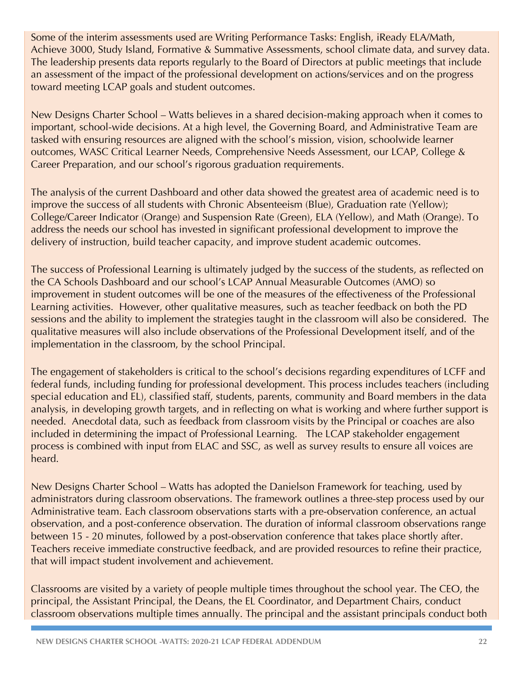Some of the interim assessments used are Writing Performance Tasks: English, iReady ELA/Math, Achieve 3000, Study Island, Formative & Summative Assessments, school climate data, and survey data. The leadership presents data reports regularly to the Board of Directors at public meetings that include an assessment of the impact of the professional development on actions/services and on the progress toward meeting LCAP goals and student outcomes.

New Designs Charter School – Watts believes in a shared decision-making approach when it comes to important, school-wide decisions. At a high level, the Governing Board, and Administrative Team are tasked with ensuring resources are aligned with the school's mission, vision, schoolwide learner outcomes, WASC Critical Learner Needs, Comprehensive Needs Assessment, our LCAP, College & Career Preparation, and our school's rigorous graduation requirements.

The analysis of the current Dashboard and other data showed the greatest area of academic need is to improve the success of all students with Chronic Absenteeism (Blue), Graduation rate (Yellow); College/Career Indicator (Orange) and Suspension Rate (Green), ELA (Yellow), and Math (Orange). To address the needs our school has invested in significant professional development to improve the delivery of instruction, build teacher capacity, and improve student academic outcomes.

The success of Professional Learning is ultimately judged by the success of the students, as reflected on the CA Schools Dashboard and our school's LCAP Annual Measurable Outcomes (AMO) so improvement in student outcomes will be one of the measures of the effectiveness of the Professional Learning activities. However, other qualitative measures, such as teacher feedback on both the PD sessions and the ability to implement the strategies taught in the classroom will also be considered. The qualitative measures will also include observations of the Professional Development itself, and of the implementation in the classroom, by the school Principal.

The engagement of stakeholders is critical to the school's decisions regarding expenditures of LCFF and federal funds, including funding for professional development. This process includes teachers (including special education and EL), classified staff, students, parents, community and Board members in the data analysis, in developing growth targets, and in reflecting on what is working and where further support is needed. Anecdotal data, such as feedback from classroom visits by the Principal or coaches are also included in determining the impact of Professional Learning. The LCAP stakeholder engagement process is combined with input from ELAC and SSC, as well as survey results to ensure all voices are heard.

New Designs Charter School – Watts has adopted the Danielson Framework for teaching, used by administrators during classroom observations. The framework outlines a three-step process used by our Administrative team. Each classroom observations starts with a pre-observation conference, an actual observation, and a post-conference observation. The duration of informal classroom observations range between 15 - 20 minutes, followed by a post-observation conference that takes place shortly after. Teachers receive immediate constructive feedback, and are provided resources to refine their practice, that will impact student involvement and achievement.

Classrooms are visited by a variety of people multiple times throughout the school year. The CEO, the principal, the Assistant Principal, the Deans, the EL Coordinator, and Department Chairs, conduct classroom observations multiple times annually. The principal and the assistant principals conduct both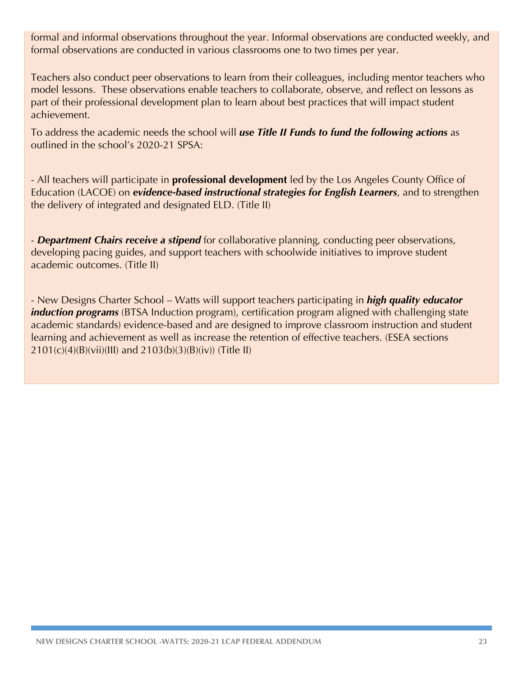formal and informal observations throughout the year. Informal observations are conducted weekly, and formal observations are conducted in various classrooms one to two times per year.

Teachers also conduct peer observations to learn from their colleagues, including mentor teachers who model lessons. These observations enable teachers to collaborate, observe, and reflect on lessons as part of their professional development plan to learn about best practices that will impact student achievement.

To address the academic needs the school will *use Title II Funds to fund the following actions* as outlined in the school's 2020-21 SPSA:

- All teachers will participate in **professional development** led by the Los Angeles County Office of Education (LACOE) on *evidence-based instructional strategies for English Learners*, and to strengthen the delivery of integrated and designated ELD. (Title II)

- *Department Chairs receive a stipend* for collaborative planning, conducting peer observations, developing pacing guides, and support teachers with schoolwide initiatives to improve student academic outcomes. (Title II)

- New Designs Charter School – Watts will support teachers participating in *high quality educator induction programs* (BTSA Induction program), certification program aligned with challenging state academic standards) evidence-based and are designed to improve classroom instruction and student learning and achievement as well as increase the retention of effective teachers. (ESEA sections 2101(c)(4)(B)(vii)(III) and 2103(b)(3)(B)(iv)) (Title II)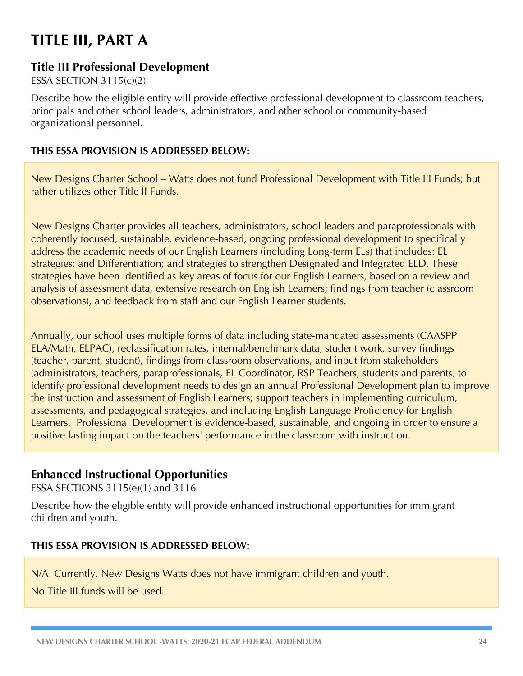# **TITLE III, PART A**

### **Title III Professional Development**

#### ESSA SECTION 3115(c)(2)

Describe how the eligible entity will provide effective professional development to classroom teachers, principals and other school leaders, administrators, and other school or community-based organizational personnel.

#### **THIS ESSA PROVISION IS ADDRESSED BELOW:**

New Designs Charter School – Watts does not fund Professional Development with Title III Funds; but rather utilizes other Title II Funds.

New Designs Charter provides all teachers, administrators, school leaders and paraprofessionals with coherently focused, sustainable, evidence-based, ongoing professional development to specifically address the academic needs of our English Learners (including Long-term ELs) that includes: EL Strategies; and Differentiation; and strategies to strengthen Designated and Integrated ELD. These strategies have been identified as key areas of focus for our English Learners, based on a review and analysis of assessment data, extensive research on English Learners; findings from teacher (classroom observations), and feedback from staff and our English Learner students.

Annually, our school uses multiple forms of data including state-mandated assessments (CAASPP ELA/Math, ELPAC), reclassification rates, internal/benchmark data, student work, survey findings (teacher, parent, student), findings from classroom observations, and input from stakeholders (administrators, teachers, paraprofessionals, EL Coordinator, RSP Teachers, students and parents) to identify professional development needs to design an annual Professional Development plan to improve the instruction and assessment of English Learners; support teachers in implementing curriculum, assessments, and pedagogical strategies, and including English Language Proficiency for English Learners. Professional Development is evidence-based, sustainable, and ongoing in order to ensure a positive lasting impact on the teachers' performance in the classroom with instruction.

### **Enhanced Instructional Opportunities**

ESSA SECTIONS 3115(e)(1) and 3116

Describe how the eligible entity will provide enhanced instructional opportunities for immigrant children and youth.

#### **THIS ESSA PROVISION IS ADDRESSED BELOW:**

N/A. Currently, New Designs Watts does not have immigrant children and youth.

No Title III funds will be used.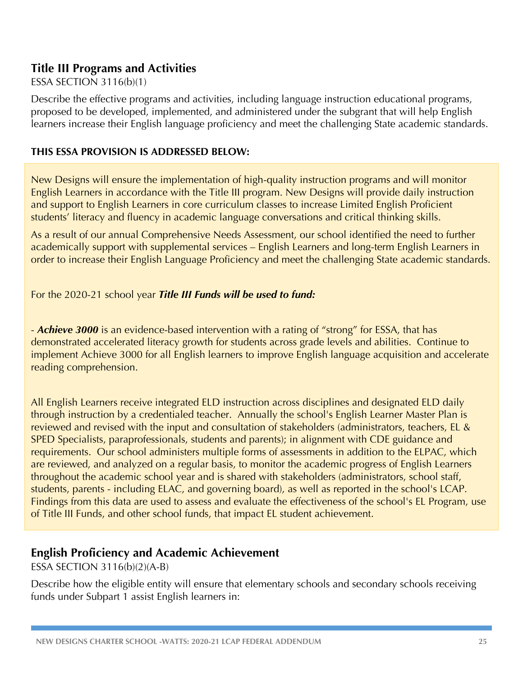### **Title III Programs and Activities**

#### ESSA SECTION 3116(b)(1)

Describe the effective programs and activities, including language instruction educational programs, proposed to be developed, implemented, and administered under the subgrant that will help English learners increase their English language proficiency and meet the challenging State academic standards.

#### **THIS ESSA PROVISION IS ADDRESSED BELOW:**

New Designs will ensure the implementation of high-quality instruction programs and will monitor English Learners in accordance with the Title III program. New Designs will provide daily instruction and support to English Learners in core curriculum classes to increase Limited English Proficient students' literacy and fluency in academic language conversations and critical thinking skills.

As a result of our annual Comprehensive Needs Assessment, our school identified the need to further academically support with supplemental services – English Learners and long-term English Learners in order to increase their English Language Proficiency and meet the challenging State academic standards.

For the 2020-21 school year *Title III Funds will be used to fund:*

- *Achieve 3000* is an evidence-based intervention with a rating of "strong" for ESSA, that has demonstrated accelerated literacy growth for students across grade levels and abilities. Continue to implement Achieve 3000 for all English learners to improve English language acquisition and accelerate reading comprehension.

All English Learners receive integrated ELD instruction across disciplines and designated ELD daily through instruction by a credentialed teacher. Annually the school's English Learner Master Plan is reviewed and revised with the input and consultation of stakeholders (administrators, teachers, EL & SPED Specialists, paraprofessionals, students and parents); in alignment with CDE guidance and requirements. Our school administers multiple forms of assessments in addition to the ELPAC, which are reviewed, and analyzed on a regular basis, to monitor the academic progress of English Learners throughout the academic school year and is shared with stakeholders (administrators, school staff, students, parents - including ELAC, and governing board), as well as reported in the school's LCAP. Findings from this data are used to assess and evaluate the effectiveness of the school's EL Program, use of Title III Funds, and other school funds, that impact EL student achievement.

### **English Proficiency and Academic Achievement**

ESSA SECTION 3116(b)(2)(A-B)

Describe how the eligible entity will ensure that elementary schools and secondary schools receiving funds under Subpart 1 assist English learners in: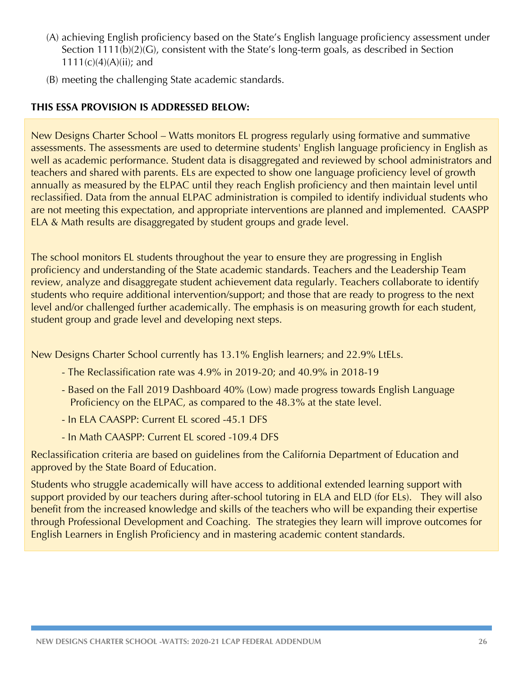- (A) achieving English proficiency based on the State's English language proficiency assessment under Section 1111(b)(2)(G), consistent with the State's long-term goals, as described in Section  $1111(c)(4)(A)(ii)$ ; and
- (B) meeting the challenging State academic standards.

#### **THIS ESSA PROVISION IS ADDRESSED BELOW:**

New Designs Charter School – Watts monitors EL progress regularly using formative and summative assessments. The assessments are used to determine students' English language proficiency in English as well as academic performance. Student data is disaggregated and reviewed by school administrators and teachers and shared with parents. ELs are expected to show one language proficiency level of growth annually as measured by the ELPAC until they reach English proficiency and then maintain level until reclassified. Data from the annual ELPAC administration is compiled to identify individual students who are not meeting this expectation, and appropriate interventions are planned and implemented. CAASPP ELA & Math results are disaggregated by student groups and grade level.

The school monitors EL students throughout the year to ensure they are progressing in English proficiency and understanding of the State academic standards. Teachers and the Leadership Team review, analyze and disaggregate student achievement data regularly. Teachers collaborate to identify students who require additional intervention/support; and those that are ready to progress to the next level and/or challenged further academically. The emphasis is on measuring growth for each student, student group and grade level and developing next steps.

New Designs Charter School currently has 13.1% English learners; and 22.9% LtELs.

- The Reclassification rate was 4.9% in 2019-20; and 40.9% in 2018-19
- Based on the Fall 2019 Dashboard 40% (Low) made progress towards English Language Proficiency on the ELPAC, as compared to the 48.3% at the state level.
- In ELA CAASPP: Current EL scored -45.1 DFS
- In Math CAASPP: Current EL scored -109.4 DFS

Reclassification criteria are based on guidelines from the California Department of Education and approved by the State Board of Education.

Students who struggle academically will have access to additional extended learning support with support provided by our teachers during after-school tutoring in ELA and ELD (for ELs). They will also benefit from the increased knowledge and skills of the teachers who will be expanding their expertise through Professional Development and Coaching. The strategies they learn will improve outcomes for English Learners in English Proficiency and in mastering academic content standards.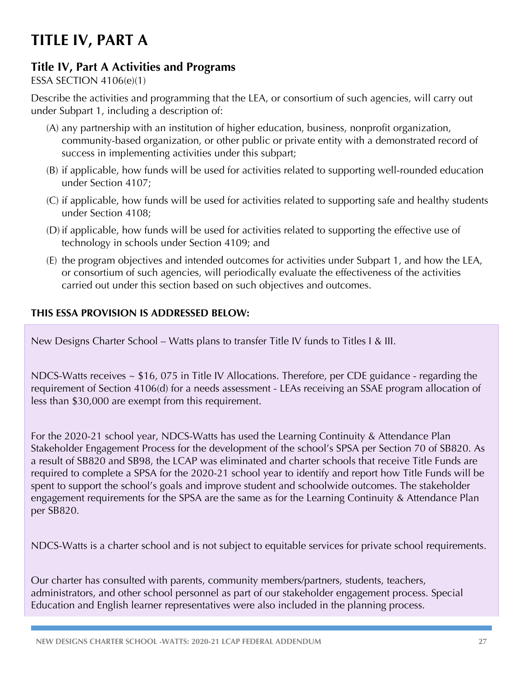# **TITLE IV, PART A**

# **Title IV, Part A Activities and Programs**

### ESSA SECTION 4106(e)(1)

Describe the activities and programming that the LEA, or consortium of such agencies, will carry out under Subpart 1, including a description of:

- (A) any partnership with an institution of higher education, business, nonprofit organization, community-based organization, or other public or private entity with a demonstrated record of success in implementing activities under this subpart;
- (B) if applicable, how funds will be used for activities related to supporting well-rounded education under Section 4107;
- (C) if applicable, how funds will be used for activities related to supporting safe and healthy students under Section 4108;
- (D) if applicable, how funds will be used for activities related to supporting the effective use of technology in schools under Section 4109; and
- (E) the program objectives and intended outcomes for activities under Subpart 1, and how the LEA, or consortium of such agencies, will periodically evaluate the effectiveness of the activities carried out under this section based on such objectives and outcomes.

#### **THIS ESSA PROVISION IS ADDRESSED BELOW:**

New Designs Charter School – Watts plans to transfer Title IV funds to Titles I & III.

NDCS-Watts receives ~ \$16, 075 in Title IV Allocations. Therefore, per CDE guidance - regarding the requirement of Section 4106(d) for a needs assessment - LEAs receiving an SSAE program allocation of less than \$30,000 are exempt from this requirement.

For the 2020-21 school year, NDCS-Watts has used the Learning Continuity & Attendance Plan Stakeholder Engagement Process for the development of the school's SPSA per Section 70 of SB820. As a result of SB820 and SB98, the LCAP was eliminated and charter schools that receive Title Funds are required to complete a SPSA for the 2020-21 school year to identify and report how Title Funds will be spent to support the school's goals and improve student and schoolwide outcomes. The stakeholder engagement requirements for the SPSA are the same as for the Learning Continuity & Attendance Plan per SB820.

NDCS-Watts is a charter school and is not subject to equitable services for private school requirements.

Our charter has consulted with parents, community members/partners, students, teachers, administrators, and other school personnel as part of our stakeholder engagement process. Special Education and English learner representatives were also included in the planning process.